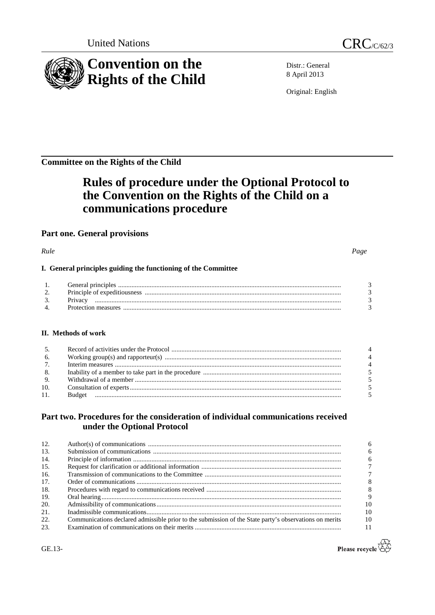

Distr.: General 8 April 2013

Original: English

**Committee on the Rights of the Child**

# **Rules of procedure under the Optional Protocol to the Convention on the Rights of the Child on a communications procedure**

# **Part one. General provisions**

*Rule Page*

# **I. General principles guiding the functioning of the Committee**

### **II. Methods of work**

| 5.             |  |
|----------------|--|
| 6.             |  |
| 7 <sub>1</sub> |  |
| 8.             |  |
| 9.             |  |
| 10.            |  |
| 11.            |  |

# **Part two. Procedures for the consideration of individual communications received under the Optional Protocol**

| 12. |                                                                                                        |  |
|-----|--------------------------------------------------------------------------------------------------------|--|
| 13. |                                                                                                        |  |
| 14. |                                                                                                        |  |
| 15. |                                                                                                        |  |
| 16. |                                                                                                        |  |
| 17. |                                                                                                        |  |
| 18. |                                                                                                        |  |
| 19. |                                                                                                        |  |
| 20. |                                                                                                        |  |
| 21. |                                                                                                        |  |
| 22. | Communications declared admissible prior to the submission of the State party's observations on merits |  |
| 23. |                                                                                                        |  |



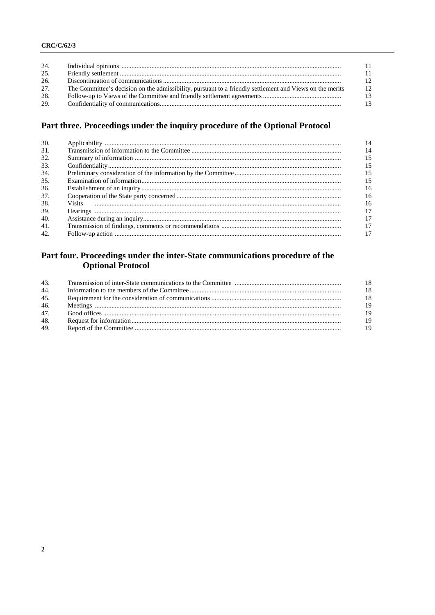#### **CRC/C/62/3**

| 24. |                                                                                                          | 11  |
|-----|----------------------------------------------------------------------------------------------------------|-----|
| 25. |                                                                                                          | 11  |
| 26. |                                                                                                          | 12  |
| 27. | The Committee's decision on the admissibility, pursuant to a friendly settlement and Views on the merits | 12  |
| 28. |                                                                                                          | -13 |
| 29. |                                                                                                          | 13  |

# Part three. Proceedings under the inquiry procedure of the Optional Protocol

| 30. | 14  |
|-----|-----|
| 31. | 14  |
| 32. | 15  |
| 33. | 15  |
| 34. | -15 |
| 35. | 15  |
| 36. | 16  |
| 37. | 16  |
| 38. | 16  |
| 39. | 17  |
| 40. | 17  |
| 41. | 17  |
| 42. | 17  |

# Part four. Proceedings under the inter-State communications procedure of the Optional Protocol

| 43. | -18 |
|-----|-----|
| 44. | 18  |
| 45. | -18 |
| 46. | 19  |
| 47. | 19  |
| 48. | 19  |
| 49. | 19  |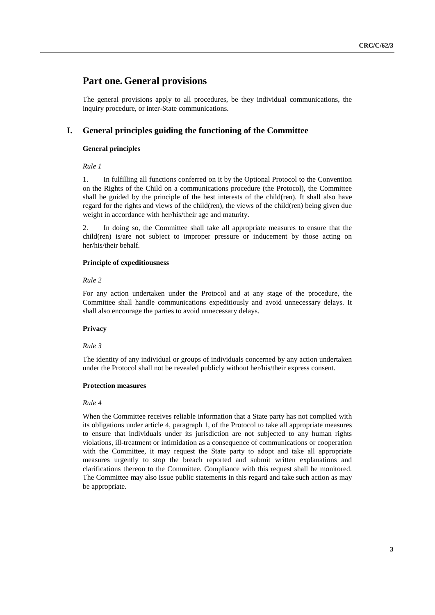# **Part one. General provisions**

The general provisions apply to all procedures, be they individual communications, the inquiry procedure, or inter-State communications.

## **I. General principles guiding the functioning of the Committee**

#### **General principles**

*Rule 1*

1. In fulfilling all functions conferred on it by the Optional Protocol to the Convention on the Rights of the Child on a communications procedure (the Protocol), the Committee shall be guided by the principle of the best interests of the child(ren). It shall also have regard for the rights and views of the child(ren), the views of the child(ren) being given due weight in accordance with her/his/their age and maturity.

2. In doing so, the Committee shall take all appropriate measures to ensure that the child(ren) is/are not subject to improper pressure or inducement by those acting on her/his/their behalf.

#### **Principle of expeditiousness**

#### *Rule 2*

For any action undertaken under the Protocol and at any stage of the procedure, the Committee shall handle communications expeditiously and avoid unnecessary delays. It shall also encourage the parties to avoid unnecessary delays.

#### **Privacy**

#### *Rule 3*

The identity of any individual or groups of individuals concerned by any action undertaken under the Protocol shall not be revealed publicly without her/his/their express consent.

#### **Protection measures**

#### *Rule 4*

When the Committee receives reliable information that a State party has not complied with its obligations under article 4, paragraph 1, of the Protocol to take all appropriate measures to ensure that individuals under its jurisdiction are not subjected to any human rights violations, ill-treatment or intimidation as a consequence of communications or cooperation with the Committee, it may request the State party to adopt and take all appropriate measures urgently to stop the breach reported and submit written explanations and clarifications thereon to the Committee. Compliance with this request shall be monitored. The Committee may also issue public statements in this regard and take such action as may be appropriate.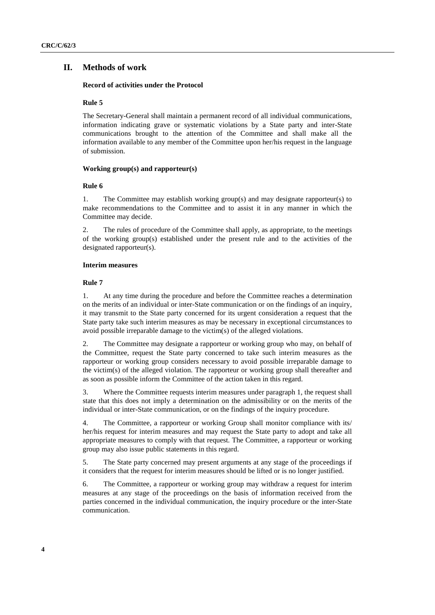#### **II. Methods of work**

#### **Record of activities under the Protocol**

#### **Rule 5**

The Secretary-General shall maintain a permanent record of all individual communications, information indicating grave or systematic violations by a State party and inter-State communications brought to the attention of the Committee and shall make all the information available to any member of the Committee upon her/his request in the language of submission.

#### **Working group(s) and rapporteur(s)**

#### **Rule 6**

1. The Committee may establish working group(s) and may designate rapporteur(s) to make recommendations to the Committee and to assist it in any manner in which the Committee may decide.

2. The rules of procedure of the Committee shall apply, as appropriate, to the meetings of the working group(s) established under the present rule and to the activities of the designated rapporteur(s).

#### **Interim measures**

#### **Rule 7**

1. At any time during the procedure and before the Committee reaches a determination on the merits of an individual or inter-State communication or on the findings of an inquiry, it may transmit to the State party concerned for its urgent consideration a request that the State party take such interim measures as may be necessary in exceptional circumstances to avoid possible irreparable damage to the victim(s) of the alleged violations.

2. The Committee may designate a rapporteur or working group who may, on behalf of the Committee, request the State party concerned to take such interim measures as the rapporteur or working group considers necessary to avoid possible irreparable damage to the victim(s) of the alleged violation. The rapporteur or working group shall thereafter and as soon as possible inform the Committee of the action taken in this regard.

3. Where the Committee requests interim measures under paragraph 1, the request shall state that this does not imply a determination on the admissibility or on the merits of the individual or inter-State communication, or on the findings of the inquiry procedure.

4. The Committee, a rapporteur or working Group shall monitor compliance with its/ her/his request for interim measures and may request the State party to adopt and take all appropriate measures to comply with that request. The Committee, a rapporteur or working group may also issue public statements in this regard.

5. The State party concerned may present arguments at any stage of the proceedings if it considers that the request for interim measures should be lifted or is no longer justified.

6. The Committee, a rapporteur or working group may withdraw a request for interim measures at any stage of the proceedings on the basis of information received from the parties concerned in the individual communication, the inquiry procedure or the inter-State communication.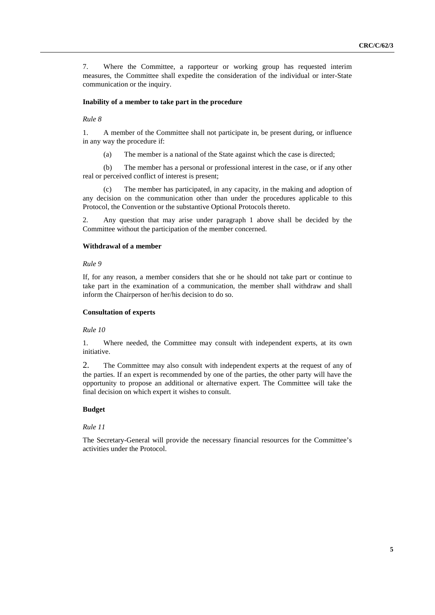7. Where the Committee, a rapporteur or working group has requested interim measures, the Committee shall expedite the consideration of the individual or inter-State communication or the inquiry.

#### **Inability of a member to take part in the procedure**

#### *Rule 8*

1. A member of the Committee shall not participate in, be present during, or influence in any way the procedure if:

(a) The member is a national of the State against which the case is directed;

(b) The member has a personal or professional interest in the case, or if any other real or perceived conflict of interest is present;

(c) The member has participated, in any capacity, in the making and adoption of any decision on the communication other than under the procedures applicable to this Protocol, the Convention or the substantive Optional Protocols thereto.

2. Any question that may arise under paragraph 1 above shall be decided by the Committee without the participation of the member concerned.

#### **Withdrawal of a member**

*Rule 9* 

If, for any reason, a member considers that she or he should not take part or continue to take part in the examination of a communication, the member shall withdraw and shall inform the Chairperson of her/his decision to do so.

#### **Consultation of experts**

*Rule 10*

1. Where needed, the Committee may consult with independent experts, at its own initiative.

2. The Committee may also consult with independent experts at the request of any of the parties. If an expert is recommended by one of the parties, the other party will have the opportunity to propose an additional or alternative expert. The Committee will take the final decision on which expert it wishes to consult.

#### **Budget**

#### *Rule 11*

The Secretary-General will provide the necessary financial resources for the Committee's activities under the Protocol.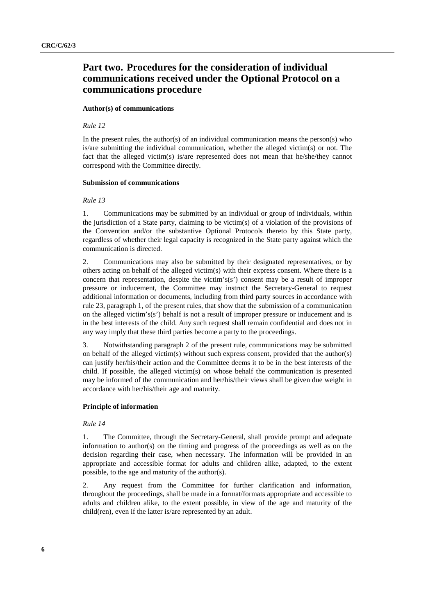# **Part two. Procedures for the consideration of individual communications received under the Optional Protocol on a communications procedure**

#### **Author(s) of communications**

#### *Rule 12*

In the present rules, the author(s) of an individual communication means the person(s) who is/are submitting the individual communication, whether the alleged victim(s) or not. The fact that the alleged victim(s) is/are represented does not mean that he/she/they cannot correspond with the Committee directly.

#### **Submission of communications**

#### *Rule 13*

1. Communications may be submitted by an individual or group of individuals, within the jurisdiction of a State party, claiming to be victim(s) of a violation of the provisions of the Convention and/or the substantive Optional Protocols thereto by this State party, regardless of whether their legal capacity is recognized in the State party against which the communication is directed.

2. Communications may also be submitted by their designated representatives, or by others acting on behalf of the alleged victim(s) with their express consent. Where there is a concern that representation, despite the victim's(s') consent may be a result of improper pressure or inducement, the Committee may instruct the Secretary-General to request additional information or documents, including from third party sources in accordance with rule 23, paragraph 1, of the present rules, that show that the submission of a communication on the alleged victim's(s') behalf is not a result of improper pressure or inducement and is in the best interests of the child. Any such request shall remain confidential and does not in any way imply that these third parties become a party to the proceedings.

3. Notwithstanding paragraph 2 of the present rule, communications may be submitted on behalf of the alleged victim(s) without such express consent, provided that the author(s) can justify her/his/their action and the Committee deems it to be in the best interests of the child. If possible, the alleged victim(s) on whose behalf the communication is presented may be informed of the communication and her/his/their views shall be given due weight in accordance with her/his/their age and maturity.

#### **Principle of information**

#### *Rule 14*

1. The Committee, through the Secretary-General, shall provide prompt and adequate information to author(s) on the timing and progress of the proceedings as well as on the decision regarding their case, when necessary. The information will be provided in an appropriate and accessible format for adults and children alike, adapted, to the extent possible, to the age and maturity of the author(s).

2. Any request from the Committee for further clarification and information, throughout the proceedings, shall be made in a format/formats appropriate and accessible to adults and children alike, to the extent possible, in view of the age and maturity of the child(ren), even if the latter is/are represented by an adult.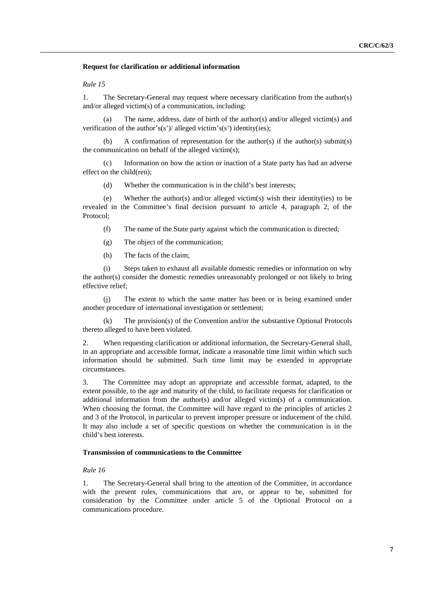#### **Request for clarification or additional information**

#### *Rule 15*

1. The Secretary-General may request where necessary clarification from the author(s) and/or alleged victim(s) of a communication, including:

(a) The name, address, date of birth of the author(s) and/or alleged victim(s) and verification of the author's(s')/ alleged victim's(s') identity(ies);

A confirmation of representation for the author(s) if the author(s) submit(s) the communication on behalf of the alleged victim(s);

(c) Information on how the action or inaction of a State party has had an adverse effect on the child(ren);

(d) Whether the communication is in the child's best interests;

(e) Whether the author(s) and/or alleged victim(s) wish their identity(ies) to be revealed in the Committee's final decision pursuant to article 4, paragraph 2, of the Protocol;

(f) The name of the State party against which the communication is directed;

- (g) The object of the communication;
- (h) The facts of the claim;

(i) Steps taken to exhaust all available domestic remedies or information on why the author(s) consider the domestic remedies unreasonably prolonged or not likely to bring effective relief;

The extent to which the same matter has been or is being examined under another procedure of international investigation or settlement;

(k) The provision(s) of the Convention and/or the substantive Optional Protocols thereto alleged to have been violated.

2. When requesting clarification or additional information, the Secretary-General shall, in an appropriate and accessible format, indicate a reasonable time limit within which such information should be submitted. Such time limit may be extended in appropriate circumstances.

3. The Committee may adopt an appropriate and accessible format, adapted, to the extent possible, to the age and maturity of the child, to facilitate requests for clarification or additional information from the author(s) and/or alleged victim(s) of a communication. When choosing the format, the Committee will have regard to the principles of articles 2 and 3 of the Protocol, in particular to prevent improper pressure or inducement of the child. It may also include a set of specific questions on whether the communication is in the child's best interests.

#### **Transmission of communications to the Committee**

#### *Rule 16*

1. The Secretary-General shall bring to the attention of the Committee, in accordance with the present rules, communications that are, or appear to be, submitted for consideration by the Committee under article 5 of the Optional Protocol on a communications procedure.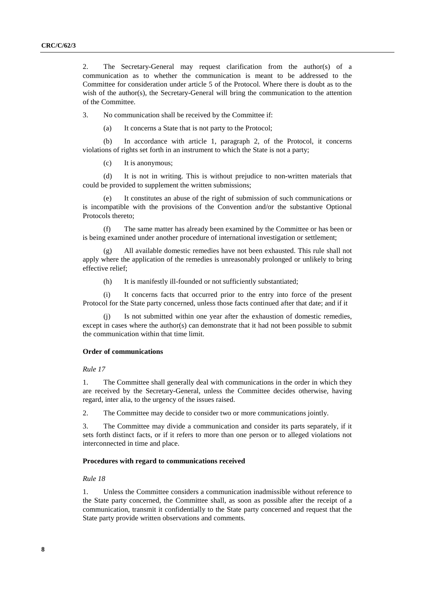2. The Secretary-General may request clarification from the author(s) of a communication as to whether the communication is meant to be addressed to the Committee for consideration under article 5 of the Protocol. Where there is doubt as to the wish of the author(s), the Secretary-General will bring the communication to the attention of the Committee.

3. No communication shall be received by the Committee if:

(a) It concerns a State that is not party to the Protocol;

(b) In accordance with article 1, paragraph 2, of the Protocol, it concerns violations of rights set forth in an instrument to which the State is not a party;

(c) It is anonymous;

(d) It is not in writing. This is without prejudice to non-written materials that could be provided to supplement the written submissions;

(e) It constitutes an abuse of the right of submission of such communications or is incompatible with the provisions of the Convention and/or the substantive Optional Protocols thereto;

(f) The same matter has already been examined by the Committee or has been or is being examined under another procedure of international investigation or settlement;

(g) All available domestic remedies have not been exhausted. This rule shall not apply where the application of the remedies is unreasonably prolonged or unlikely to bring effective relief;

(h) It is manifestly ill-founded or not sufficiently substantiated;

(i) It concerns facts that occurred prior to the entry into force of the present Protocol for the State party concerned, unless those facts continued after that date; and if it

(j) Is not submitted within one year after the exhaustion of domestic remedies, except in cases where the author(s) can demonstrate that it had not been possible to submit the communication within that time limit.

#### **Order of communications**

*Rule 17*

1. The Committee shall generally deal with communications in the order in which they are received by the Secretary-General, unless the Committee decides otherwise, having regard, inter alia, to the urgency of the issues raised.

2. The Committee may decide to consider two or more communications jointly.

3. The Committee may divide a communication and consider its parts separately, if it sets forth distinct facts, or if it refers to more than one person or to alleged violations not interconnected in time and place.

#### **Procedures with regard to communications received**

*Rule 18*

1. Unless the Committee considers a communication inadmissible without reference to the State party concerned, the Committee shall, as soon as possible after the receipt of a communication, transmit it confidentially to the State party concerned and request that the State party provide written observations and comments.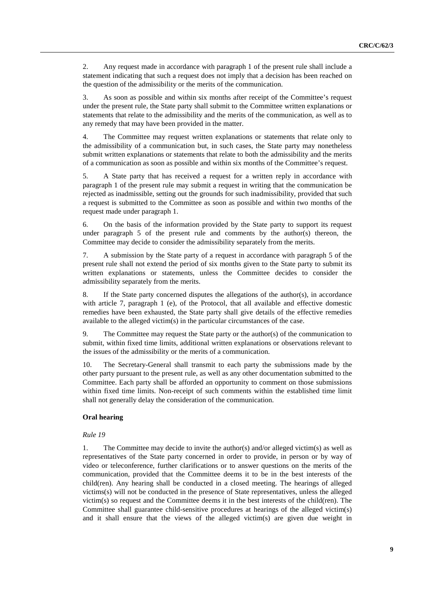2. Any request made in accordance with paragraph 1 of the present rule shall include a statement indicating that such a request does not imply that a decision has been reached on the question of the admissibility or the merits of the communication.

3. As soon as possible and within six months after receipt of the Committee's request under the present rule, the State party shall submit to the Committee written explanations or statements that relate to the admissibility and the merits of the communication, as well as to any remedy that may have been provided in the matter.

4. The Committee may request written explanations or statements that relate only to the admissibility of a communication but, in such cases, the State party may nonetheless submit written explanations or statements that relate to both the admissibility and the merits of a communication as soon as possible and within six months of the Committee's request.

5. A State party that has received a request for a written reply in accordance with paragraph 1 of the present rule may submit a request in writing that the communication be rejected as inadmissible, setting out the grounds for such inadmissibility, provided that such a request is submitted to the Committee as soon as possible and within two months of the request made under paragraph 1.

6. On the basis of the information provided by the State party to support its request under paragraph  $5$  of the present rule and comments by the author(s) thereon, the Committee may decide to consider the admissibility separately from the merits.

7. A submission by the State party of a request in accordance with paragraph 5 of the present rule shall not extend the period of six months given to the State party to submit its written explanations or statements, unless the Committee decides to consider the admissibility separately from the merits.

8. If the State party concerned disputes the allegations of the author(s), in accordance with article 7, paragraph 1 (e), of the Protocol, that all available and effective domestic remedies have been exhausted, the State party shall give details of the effective remedies available to the alleged victim(s) in the particular circumstances of the case.

9. The Committee may request the State party or the author(s) of the communication to submit, within fixed time limits, additional written explanations or observations relevant to the issues of the admissibility or the merits of a communication.

10. The Secretary-General shall transmit to each party the submissions made by the other party pursuant to the present rule, as well as any other documentation submitted to the Committee. Each party shall be afforded an opportunity to comment on those submissions within fixed time limits. Non-receipt of such comments within the established time limit shall not generally delay the consideration of the communication.

#### **Oral hearing**

#### *Rule 19*

1. The Committee may decide to invite the author(s) and/or alleged victim(s) as well as representatives of the State party concerned in order to provide, in person or by way of video or teleconference, further clarifications or to answer questions on the merits of the communication, provided that the Committee deems it to be in the best interests of the child(ren). Any hearing shall be conducted in a closed meeting. The hearings of alleged victims(s) will not be conducted in the presence of State representatives, unless the alleged victim(s) so request and the Committee deems it in the best interests of the child(ren). The Committee shall guarantee child-sensitive procedures at hearings of the alleged victim(s) and it shall ensure that the views of the alleged victim(s) are given due weight in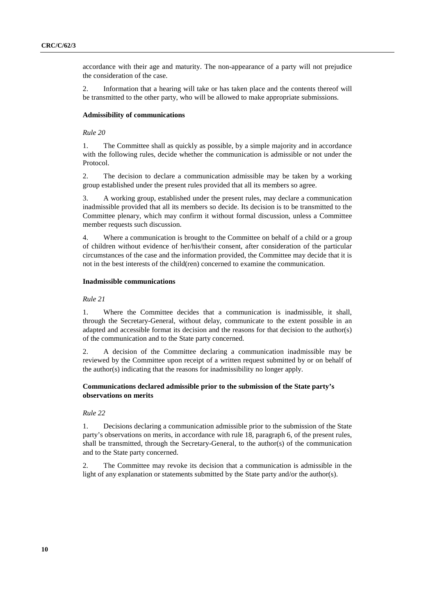accordance with their age and maturity. The non-appearance of a party will not prejudice the consideration of the case.

2. Information that a hearing will take or has taken place and the contents thereof will be transmitted to the other party, who will be allowed to make appropriate submissions.

#### **Admissibility of communications**

#### *Rule 20*

1. The Committee shall as quickly as possible, by a simple majority and in accordance with the following rules, decide whether the communication is admissible or not under the Protocol.

2. The decision to declare a communication admissible may be taken by a working group established under the present rules provided that all its members so agree.

3. A working group, established under the present rules, may declare a communication inadmissible provided that all its members so decide. Its decision is to be transmitted to the Committee plenary, which may confirm it without formal discussion, unless a Committee member requests such discussion.

4. Where a communication is brought to the Committee on behalf of a child or a group of children without evidence of her/his/their consent, after consideration of the particular circumstances of the case and the information provided, the Committee may decide that it is not in the best interests of the child(ren) concerned to examine the communication.

#### **Inadmissible communications**

#### *Rule 21*

1. Where the Committee decides that a communication is inadmissible, it shall, through the Secretary-General, without delay, communicate to the extent possible in an adapted and accessible format its decision and the reasons for that decision to the author(s) of the communication and to the State party concerned.

2. A decision of the Committee declaring a communication inadmissible may be reviewed by the Committee upon receipt of a written request submitted by or on behalf of the author(s) indicating that the reasons for inadmissibility no longer apply.

#### **Communications declared admissible prior to the submission of the State party's observations on merits**

#### *Rule 22*

1. Decisions declaring a communication admissible prior to the submission of the State party's observations on merits, in accordance with rule 18, paragraph 6, of the present rules, shall be transmitted, through the Secretary-General, to the author(s) of the communication and to the State party concerned.

2. The Committee may revoke its decision that a communication is admissible in the light of any explanation or statements submitted by the State party and/or the author(s).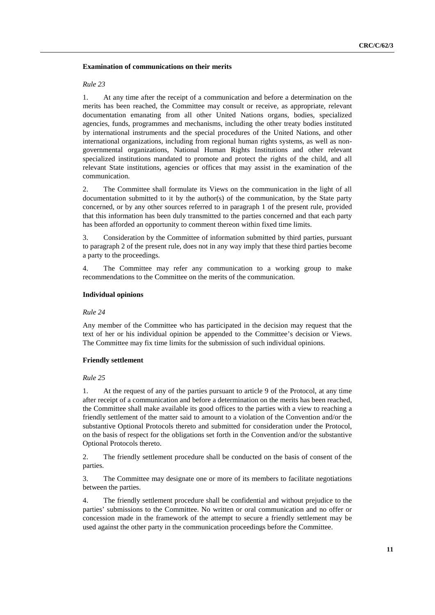#### **Examination of communications on their merits**

#### *Rule 23*

1. At any time after the receipt of a communication and before a determination on the merits has been reached, the Committee may consult or receive, as appropriate, relevant documentation emanating from all other United Nations organs, bodies, specialized agencies, funds, programmes and mechanisms, including the other treaty bodies instituted by international instruments and the special procedures of the United Nations, and other international organizations, including from regional human rights systems, as well as nongovernmental organizations, National Human Rights Institutions and other relevant specialized institutions mandated to promote and protect the rights of the child, and all relevant State institutions, agencies or offices that may assist in the examination of the communication.

2. The Committee shall formulate its Views on the communication in the light of all documentation submitted to it by the author(s) of the communication, by the State party concerned, or by any other sources referred to in paragraph 1 of the present rule, provided that this information has been duly transmitted to the parties concerned and that each party has been afforded an opportunity to comment thereon within fixed time limits.

3. Consideration by the Committee of information submitted by third parties, pursuant to paragraph 2 of the present rule, does not in any way imply that these third parties become a party to the proceedings.

4. The Committee may refer any communication to a working group to make recommendations to the Committee on the merits of the communication.

#### **Individual opinions**

#### *Rule 24*

Any member of the Committee who has participated in the decision may request that the text of her or his individual opinion be appended to the Committee's decision or Views. The Committee may fix time limits for the submission of such individual opinions.

#### **Friendly settlement**

#### *Rule 25*

1. At the request of any of the parties pursuant to article 9 of the Protocol, at any time after receipt of a communication and before a determination on the merits has been reached, the Committee shall make available its good offices to the parties with a view to reaching a friendly settlement of the matter said to amount to a violation of the Convention and/or the substantive Optional Protocols thereto and submitted for consideration under the Protocol, on the basis of respect for the obligations set forth in the Convention and/or the substantive Optional Protocols thereto.

2. The friendly settlement procedure shall be conducted on the basis of consent of the parties.

3. The Committee may designate one or more of its members to facilitate negotiations between the parties.

4. The friendly settlement procedure shall be confidential and without prejudice to the parties' submissions to the Committee. No written or oral communication and no offer or concession made in the framework of the attempt to secure a friendly settlement may be used against the other party in the communication proceedings before the Committee.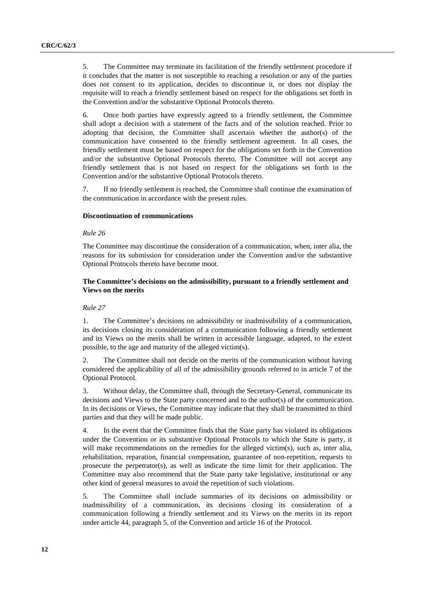5. The Committee may terminate its facilitation of the friendly settlement procedure if it concludes that the matter is not susceptible to reaching a resolution or any of the parties does not consent to its application, decides to discontinue it, or does not display the requisite will to reach a friendly settlement based on respect for the obligations set forth in the Convention and/or the substantive Optional Protocols thereto.

6. Once both parties have expressly agreed to a friendly settlement, the Committee shall adopt a decision with a statement of the facts and of the solution reached. Prior to adopting that decision, the Committee shall ascertain whether the author(s) of the communication have consented to the friendly settlement agreement. In all cases, the friendly settlement must be based on respect for the obligations set forth in the Convention and/or the substantive Optional Protocols thereto. The Committee will not accept any friendly settlement that is not based on respect for the obligations set forth in the Convention and/or the substantive Optional Protocols thereto.

7. If no friendly settlement is reached, the Committee shall continue the examination of the communication in accordance with the present rules.

#### **Discontinuation of communications**

#### *Rule 26*

The Committee may discontinue the consideration of a communication, when, inter alia, the reasons for its submission for consideration under the Convention and/or the substantive Optional Protocols thereto have become moot.

#### **The Committee's decisions on the admissibility, pursuant to a friendly settlement and Views on the merits**

#### *Rule 27*

1. The Committee's decisions on admissibility or inadmissibility of a communication, its decisions closing its consideration of a communication following a friendly settlement and its Views on the merits shall be written in accessible language, adapted, to the extent possible, to the age and maturity of the alleged victim(s).

2. The Committee shall not decide on the merits of the communication without having considered the applicability of all of the admissibility grounds referred to in article 7 of the Optional Protocol.

3. Without delay, the Committee shall, through the Secretary-General, communicate its decisions and Views to the State party concerned and to the author(s) of the communication. In its decisions or Views, the Committee may indicate that they shall be transmitted to third parties and that they will be made public.

4. In the event that the Committee finds that the State party has violated its obligations under the Convention or its substantive Optional Protocols to which the State is party, it will make recommendations on the remedies for the alleged victim(s), such as, inter alia, rehabilitation, reparation, financial compensation, guarantee of non-repetition, requests to prosecute the perpetrator(s), as well as indicate the time limit for their application. The Committee may also recommend that the State party take legislative, institutional or any other kind of general measures to avoid the repetition of such violations.

5. The Committee shall include summaries of its decisions on admissibility or inadmissibility of a communication, its decisions closing its consideration of a communication following a friendly settlement and its Views on the merits in its report under article 44, paragraph 5, of the Convention and article 16 of the Protocol.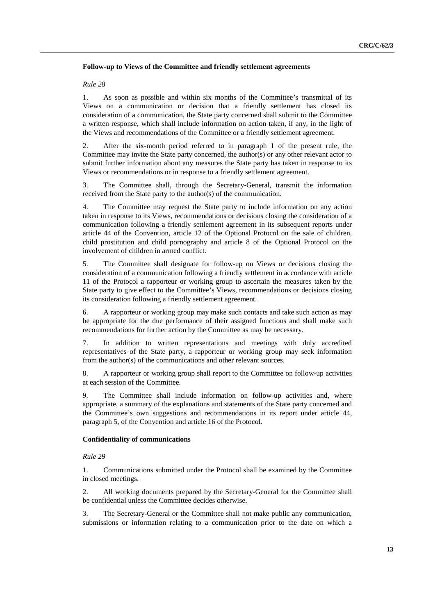#### **Follow-up to Views of the Committee and friendly settlement agreements**

#### *Rule 28*

1. As soon as possible and within six months of the Committee's transmittal of its Views on a communication or decision that a friendly settlement has closed its consideration of a communication, the State party concerned shall submit to the Committee a written response, which shall include information on action taken, if any, in the light of the Views and recommendations of the Committee or a friendly settlement agreement.

2. After the six-month period referred to in paragraph 1 of the present rule, the Committee may invite the State party concerned, the author(s) or any other relevant actor to submit further information about any measures the State party has taken in response to its Views or recommendations or in response to a friendly settlement agreement.

3. The Committee shall, through the Secretary-General, transmit the information received from the State party to the author(s) of the communication.

4. The Committee may request the State party to include information on any action taken in response to its Views, recommendations or decisions closing the consideration of a communication following a friendly settlement agreement in its subsequent reports under article 44 of the Convention, article 12 of the Optional Protocol on the sale of children, child prostitution and child pornography and article 8 of the Optional Protocol on the involvement of children in armed conflict.

5. The Committee shall designate for follow-up on Views or decisions closing the consideration of a communication following a friendly settlement in accordance with article 11 of the Protocol a rapporteur or working group to ascertain the measures taken by the State party to give effect to the Committee's Views, recommendations or decisions closing its consideration following a friendly settlement agreement.

6. A rapporteur or working group may make such contacts and take such action as may be appropriate for the due performance of their assigned functions and shall make such recommendations for further action by the Committee as may be necessary.

7. In addition to written representations and meetings with duly accredited representatives of the State party, a rapporteur or working group may seek information from the author(s) of the communications and other relevant sources.

8. A rapporteur or working group shall report to the Committee on follow-up activities at each session of the Committee.

9. The Committee shall include information on follow-up activities and, where appropriate, a summary of the explanations and statements of the State party concerned and the Committee's own suggestions and recommendations in its report under article 44, paragraph 5, of the Convention and article 16 of the Protocol.

#### **Confidentiality of communications**

*Rule 29* 

1. Communications submitted under the Protocol shall be examined by the Committee in closed meetings.

2. All working documents prepared by the Secretary-General for the Committee shall be confidential unless the Committee decides otherwise.

3. The Secretary-General or the Committee shall not make public any communication, submissions or information relating to a communication prior to the date on which a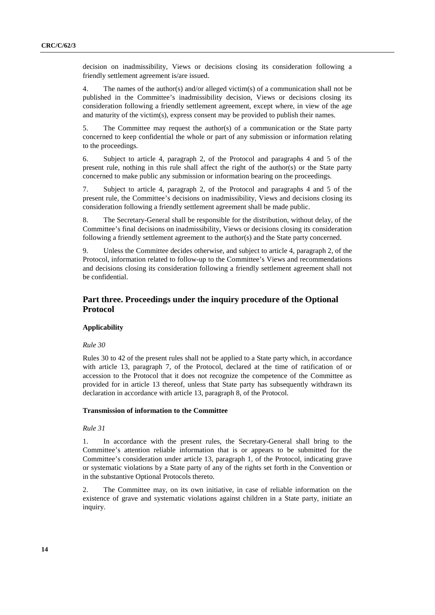decision on inadmissibility, Views or decisions closing its consideration following a friendly settlement agreement is/are issued.

4. The names of the author(s) and/or alleged victim(s) of a communication shall not be published in the Committee's inadmissibility decision, Views or decisions closing its consideration following a friendly settlement agreement, except where, in view of the age and maturity of the victim(s), express consent may be provided to publish their names.

5. The Committee may request the author(s) of a communication or the State party concerned to keep confidential the whole or part of any submission or information relating to the proceedings.

6. Subject to article 4, paragraph 2, of the Protocol and paragraphs 4 and 5 of the present rule, nothing in this rule shall affect the right of the author(s) or the State party concerned to make public any submission or information bearing on the proceedings.

7. Subject to article 4, paragraph 2, of the Protocol and paragraphs 4 and 5 of the present rule, the Committee's decisions on inadmissibility, Views and decisions closing its consideration following a friendly settlement agreement shall be made public.

8. The Secretary-General shall be responsible for the distribution, without delay, of the Committee's final decisions on inadmissibility, Views or decisions closing its consideration following a friendly settlement agreement to the author(s) and the State party concerned.

9. Unless the Committee decides otherwise, and subject to article 4, paragraph 2, of the Protocol, information related to follow-up to the Committee's Views and recommendations and decisions closing its consideration following a friendly settlement agreement shall not be confidential.

### **Part three. Proceedings under the inquiry procedure of the Optional Protocol**

#### **Applicability**

#### *Rule 30*

Rules 30 to 42 of the present rules shall not be applied to a State party which, in accordance with article 13, paragraph 7, of the Protocol, declared at the time of ratification of or accession to the Protocol that it does not recognize the competence of the Committee as provided for in article 13 thereof, unless that State party has subsequently withdrawn its declaration in accordance with article 13, paragraph 8, of the Protocol.

#### **Transmission of information to the Committee**

#### *Rule 31*

1. In accordance with the present rules, the Secretary-General shall bring to the Committee's attention reliable information that is or appears to be submitted for the Committee's consideration under article 13, paragraph 1, of the Protocol, indicating grave or systematic violations by a State party of any of the rights set forth in the Convention or in the substantive Optional Protocols thereto.

2. The Committee may, on its own initiative, in case of reliable information on the existence of grave and systematic violations against children in a State party, initiate an inquiry.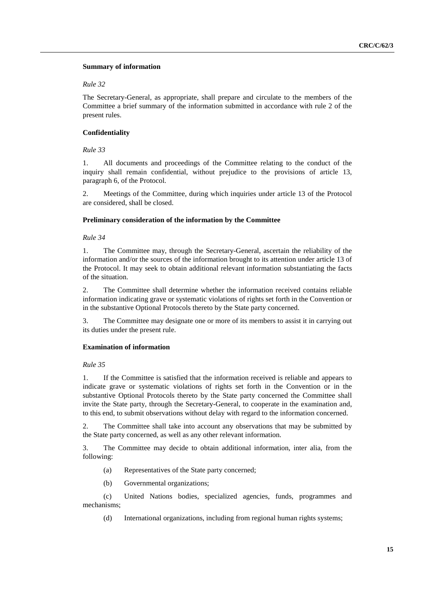#### **Summary of information**

#### *Rule 32*

The Secretary-General, as appropriate, shall prepare and circulate to the members of the Committee a brief summary of the information submitted in accordance with rule 2 of the present rules.

#### **Confidentiality**

*Rule 33*

1. All documents and proceedings of the Committee relating to the conduct of the inquiry shall remain confidential, without prejudice to the provisions of article 13, paragraph 6, of the Protocol.

2. Meetings of the Committee, during which inquiries under article 13 of the Protocol are considered, shall be closed.

#### **Preliminary consideration of the information by the Committee**

*Rule 34*

1. The Committee may, through the Secretary-General, ascertain the reliability of the information and/or the sources of the information brought to its attention under article 13 of the Protocol. It may seek to obtain additional relevant information substantiating the facts of the situation.

2. The Committee shall determine whether the information received contains reliable information indicating grave or systematic violations of rights set forth in the Convention or in the substantive Optional Protocols thereto by the State party concerned.

3. The Committee may designate one or more of its members to assist it in carrying out its duties under the present rule.

#### **Examination of information**

#### *Rule 35*

1. If the Committee is satisfied that the information received is reliable and appears to indicate grave or systematic violations of rights set forth in the Convention or in the substantive Optional Protocols thereto by the State party concerned the Committee shall invite the State party, through the Secretary-General, to cooperate in the examination and, to this end, to submit observations without delay with regard to the information concerned.

2. The Committee shall take into account any observations that may be submitted by the State party concerned, as well as any other relevant information.

3. The Committee may decide to obtain additional information, inter alia, from the following:

- (a) Representatives of the State party concerned;
- (b) Governmental organizations;

(c) United Nations bodies, specialized agencies, funds, programmes and mechanisms;

(d) International organizations, including from regional human rights systems;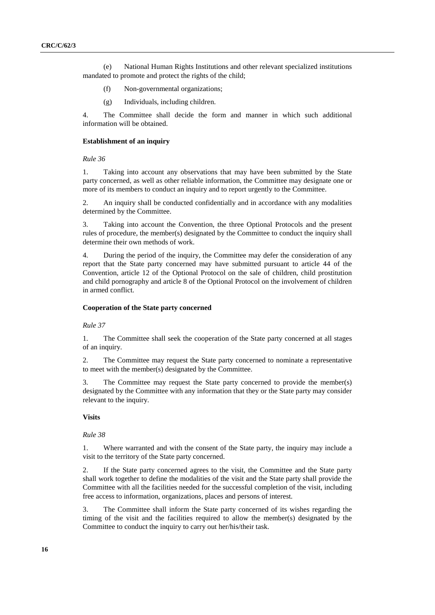(e) National Human Rights Institutions and other relevant specialized institutions mandated to promote and protect the rights of the child;

- (f) Non-governmental organizations;
- (g) Individuals, including children.

4. The Committee shall decide the form and manner in which such additional information will be obtained.

#### **Establishment of an inquiry**

#### *Rule 36*

1. Taking into account any observations that may have been submitted by the State party concerned, as well as other reliable information, the Committee may designate one or more of its members to conduct an inquiry and to report urgently to the Committee.

2. An inquiry shall be conducted confidentially and in accordance with any modalities determined by the Committee.

3. Taking into account the Convention, the three Optional Protocols and the present rules of procedure, the member(s) designated by the Committee to conduct the inquiry shall determine their own methods of work.

4. During the period of the inquiry, the Committee may defer the consideration of any report that the State party concerned may have submitted pursuant to article 44 of the Convention, article 12 of the Optional Protocol on the sale of children, child prostitution and child pornography and article 8 of the Optional Protocol on the involvement of children in armed conflict.

#### **Cooperation of the State party concerned**

*Rule 37*

1. The Committee shall seek the cooperation of the State party concerned at all stages of an inquiry.

2. The Committee may request the State party concerned to nominate a representative to meet with the member(s) designated by the Committee.

3. The Committee may request the State party concerned to provide the member(s) designated by the Committee with any information that they or the State party may consider relevant to the inquiry.

#### **Visits**

#### *Rule 38*

1. Where warranted and with the consent of the State party, the inquiry may include a visit to the territory of the State party concerned.

2. If the State party concerned agrees to the visit, the Committee and the State party shall work together to define the modalities of the visit and the State party shall provide the Committee with all the facilities needed for the successful completion of the visit, including free access to information, organizations, places and persons of interest.

3. The Committee shall inform the State party concerned of its wishes regarding the timing of the visit and the facilities required to allow the member(s) designated by the Committee to conduct the inquiry to carry out her/his/their task.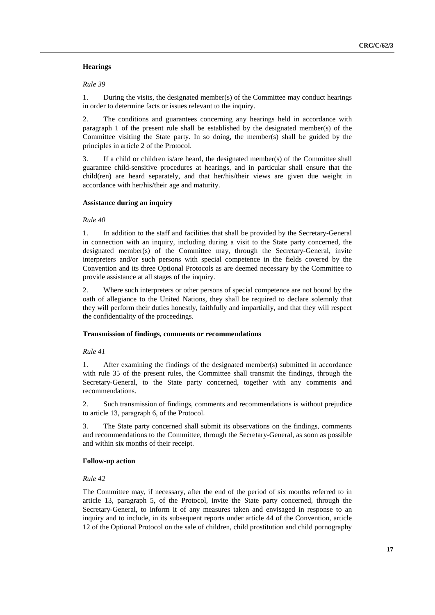#### **Hearings**

*Rule 39*

1. During the visits, the designated member(s) of the Committee may conduct hearings in order to determine facts or issues relevant to the inquiry.

2. The conditions and guarantees concerning any hearings held in accordance with paragraph 1 of the present rule shall be established by the designated member(s) of the Committee visiting the State party. In so doing, the member(s) shall be guided by the principles in article 2 of the Protocol.

3. If a child or children is/are heard, the designated member(s) of the Committee shall guarantee child-sensitive procedures at hearings, and in particular shall ensure that the child(ren) are heard separately, and that her/his/their views are given due weight in accordance with her/his/their age and maturity.

#### **Assistance during an inquiry**

*Rule 40*

1. In addition to the staff and facilities that shall be provided by the Secretary-General in connection with an inquiry, including during a visit to the State party concerned, the designated member(s) of the Committee may, through the Secretary-General, invite interpreters and/or such persons with special competence in the fields covered by the Convention and its three Optional Protocols as are deemed necessary by the Committee to provide assistance at all stages of the inquiry.

2. Where such interpreters or other persons of special competence are not bound by the oath of allegiance to the United Nations, they shall be required to declare solemnly that they will perform their duties honestly, faithfully and impartially, and that they will respect the confidentiality of the proceedings.

#### **Transmission of findings, comments or recommendations**

*Rule 41*

1. After examining the findings of the designated member(s) submitted in accordance with rule 35 of the present rules, the Committee shall transmit the findings, through the Secretary-General, to the State party concerned, together with any comments and recommendations.

2. Such transmission of findings, comments and recommendations is without prejudice to article 13, paragraph 6, of the Protocol.

3. The State party concerned shall submit its observations on the findings, comments and recommendations to the Committee, through the Secretary-General, as soon as possible and within six months of their receipt.

#### **Follow-up action**

#### *Rule 42*

The Committee may, if necessary, after the end of the period of six months referred to in article 13, paragraph 5, of the Protocol, invite the State party concerned, through the Secretary-General, to inform it of any measures taken and envisaged in response to an inquiry and to include, in its subsequent reports under article 44 of the Convention, article 12 of the Optional Protocol on the sale of children, child prostitution and child pornography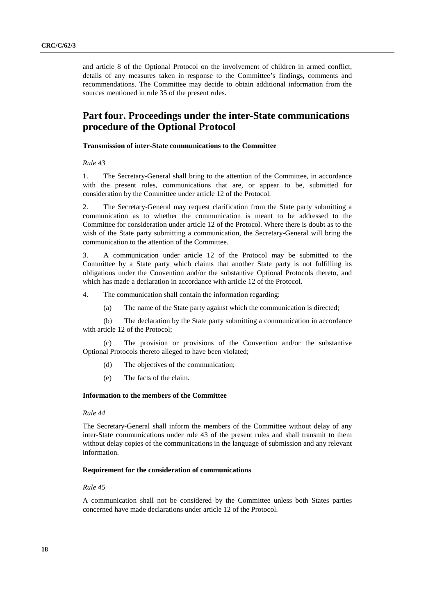and article 8 of the Optional Protocol on the involvement of children in armed conflict, details of any measures taken in response to the Committee's findings, comments and recommendations. The Committee may decide to obtain additional information from the sources mentioned in rule 35 of the present rules.

# **Part four. Proceedings under the inter-State communications procedure of the Optional Protocol**

#### **Transmission of inter-State communications to the Committee**

*Rule 43*

1. The Secretary-General shall bring to the attention of the Committee, in accordance with the present rules, communications that are, or appear to be, submitted for consideration by the Committee under article 12 of the Protocol.

2. The Secretary-General may request clarification from the State party submitting a communication as to whether the communication is meant to be addressed to the Committee for consideration under article 12 of the Protocol. Where there is doubt as to the wish of the State party submitting a communication, the Secretary-General will bring the communication to the attention of the Committee.

3. A communication under article 12 of the Protocol may be submitted to the Committee by a State party which claims that another State party is not fulfilling its obligations under the Convention and/or the substantive Optional Protocols thereto, and which has made a declaration in accordance with article 12 of the Protocol.

4. The communication shall contain the information regarding:

(a) The name of the State party against which the communication is directed;

(b) The declaration by the State party submitting a communication in accordance with article 12 of the Protocol;

(c) The provision or provisions of the Convention and/or the substantive Optional Protocols thereto alleged to have been violated;

- (d) The objectives of the communication;
- (e) The facts of the claim.

#### **Information to the members of the Committee**

#### *Rule 44*

The Secretary-General shall inform the members of the Committee without delay of any inter-State communications under rule 43 of the present rules and shall transmit to them without delay copies of the communications in the language of submission and any relevant information.

#### **Requirement for the consideration of communications**

#### *Rule 45*

A communication shall not be considered by the Committee unless both States parties concerned have made declarations under article 12 of the Protocol.